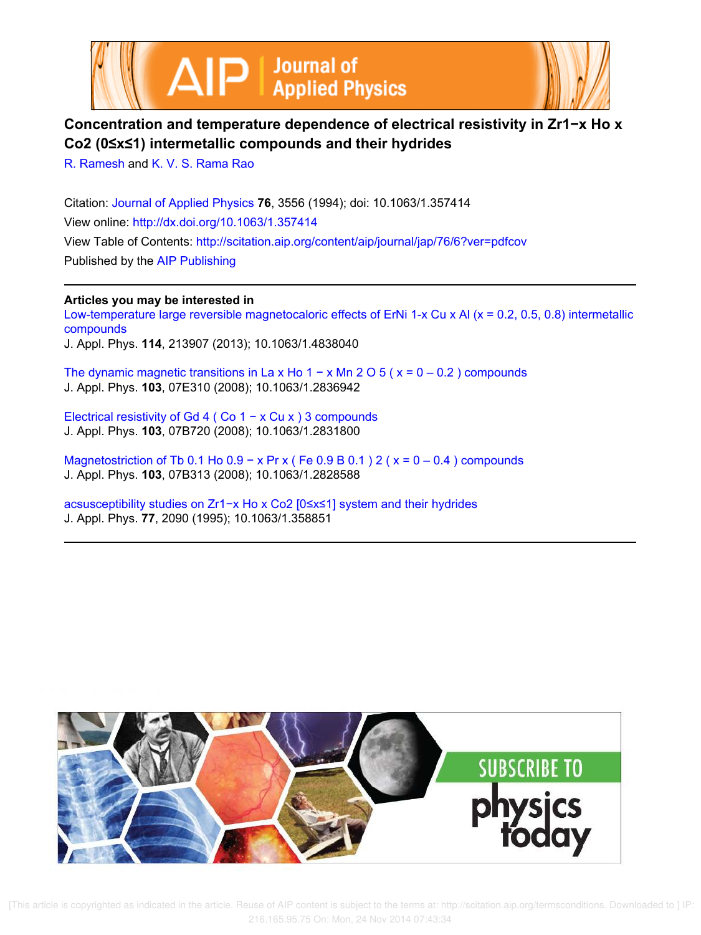



# **Concentration and temperature dependence of electrical resistivity in Zr1−x Ho x Co2 (0≤x≤1) intermetallic compounds and their hydrides**

R. Ramesh and K. V. S. Rama Rao

Citation: Journal of Applied Physics **76**, 3556 (1994); doi: 10.1063/1.357414 View online: http://dx.doi.org/10.1063/1.357414 View Table of Contents: http://scitation.aip.org/content/aip/journal/jap/76/6?ver=pdfcov Published by the AIP Publishing

**Articles you may be interested in**

Low-temperature large reversible magnetocaloric effects of ErNi 1-x Cu x Al (x = 0.2, 0.5, 0.8) intermetallic compounds J. Appl. Phys. **114**, 213907 (2013); 10.1063/1.4838040

The dynamic magnetic transitions in La x Ho  $1 - x$  Mn  $2 O_5$  ( $x = 0 - 0.2$ ) compounds J. Appl. Phys. **103**, 07E310 (2008); 10.1063/1.2836942

Electrical resistivity of Gd 4 ( Co 1 − x Cu x ) 3 compounds J. Appl. Phys. **103**, 07B720 (2008); 10.1063/1.2831800

Magnetostriction of Tb 0.1 Ho  $0.9 - x$  Pr x (Fe  $0.9$  B  $0.1$ ) 2 ( $x = 0 - 0.4$ ) compounds J. Appl. Phys. **103**, 07B313 (2008); 10.1063/1.2828588

acsusceptibility studies on Zr1−x Ho x Co2 [0≤x≤1] system and their hydrides J. Appl. Phys. **77**, 2090 (1995); 10.1063/1.358851

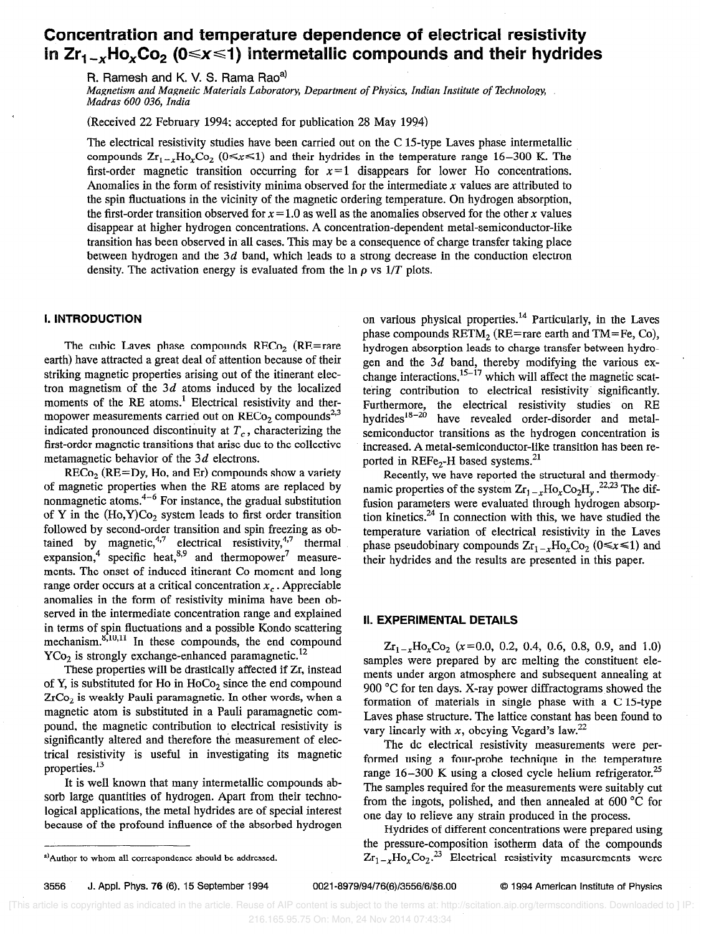# Concentration and temperature dependence of electrical resistivity in  $Zr_{1-x}$ Ho<sub>x</sub>Co<sub>2</sub> (0  $\le x \le 1$ ) intermetallic compounds and their hydrides

R. Ramesh and K. V. S. Rama Rao<sup>a)</sup>

Magnetism and Magnetic Materials Laboratory, Department of Physics, Indian Institute of Technology, Madras 600 036, India

(Received 22 February 1994; accepted for publication 28 May 1994)

The electrical resistivity studies have been carried out on the  $C$  15-type Laves phase intermetallic compounds  $Zr_{1-r}H_0$ ,  $C_2$  ( $0 \le x \le 1$ ) and their hydrides in the temperature range 16-300 K. The first-order magnetic transition occurring for  $x=1$  disappears for lower Ho concentrations. Anomalies in the form of resistivity minima observed for the intermediate  $x$  values are attributed to the spin fluctuations in the vicinity of the magnetic ordering temperature. On hydrogen absorption, the first-order transition observed for  $x = 1.0$  as well as the anomalies observed for the other x values disappear at higher hydrogen concentrations. A concentration-dependent metal-semiconductor-like transition has been observed in all cases. This may be a consequence of charge transfer taking place between hydrogen and the 3d band, which leads to a strong decrease in the conduction electron density. The activation energy is evaluated from the  $\ln \rho$  vs  $1/T$  plots.

# I. INTRODUCTION

The cubic Laves phase compounds  $RECo<sub>2</sub>$  (RE=rare earth) have attracted a great deal of attention because of their striking magnetic properties arising out of the itinerant electron magnetism of the  $3d$  atoms induced by the localized moments of the RE atoms.<sup>1</sup> Electrical resistivity and thermopower measurements carried out on  $RECo<sub>2</sub>$  compounds<sup>2,3</sup> indicated pronounced discontinuity at  $T_c$ , characterizing the first-order magnetic transitions that arise due to the collective metamagnetic behavior of the 3d electrons.

 $RECo<sub>2</sub>$  ( $RE=Dy$ , Ho, and Er) compounds show a variety of magnetic properties when the RE atoms are replaced by nonmagnetic atoms. $4-6$  For instance, the gradual substitution of Y in the  $(Ho, Y)Co<sub>2</sub>$  system leads to first order transition followed by second-order transition and spin freezing as obtained by magnetic,"<sup>'</sup> electrical resistivity,"<sup>'</sup> thermal expansion,<sup>4</sup> specific heat,<sup>o,9</sup> and thermopower' measurements. The onset of induced itinerant Co moment and long range order occurs at a critical concentration  $x<sub>c</sub>$ . Appreciable anomalies in the form of resistivity minima have been observed in the intermediate concentration range and explained in terms of spin fluctuations and a possible Kondo scattering mechanism. $8,10,11$  In these compounds, the end compound  $YCo<sub>2</sub>$  is strongly exchange-enhanced paramagnetic.<sup>12</sup>

These properties will be drastically affected if Zr, instead of Y, is substituted for Ho in HoCo, since the end compound ZrCo, is weakly Pauli paramagnetic. In other words, when a magnetic atom is substituted in a Pauli paramagnetic compound, the magnetic contribution to electrical resistivity is significantly altered and therefore the measurement of electrical resistivity is useful in investigating its magnetic properties.<sup>13</sup>

It is well known that many intermetallic compounds absorb large quantities of hydrogen. Apart from their technological applications, the metal hydrides are of special interest because of the profound influence of the absorbed hydrogen

on various physical properties.<sup>14</sup> Particularly, in the Laves phase compounds  $RETM_2$  (RE=rare earth and TM=Fe, Co), hydrogen absorption leads to charge transfer between hydrogen and the  $3d$  band, thereby modifying the various exchange interactions,  $15-17$  which will affect the magnetic scattering contribution to electrical resistivity- significantly. Furthermore, the electrical resistivity studies on RE hydrides<sup>18-20</sup> have revealed order-disorder and metalhave revealed order-disorder and metalsemiconductor transitions as the hydrogen concentration is increased. A metal-semiconductor-like transition has been reported in REFe<sub>2</sub>-H based systems.<sup>21</sup>

Recently, we have reported the structural and thermodynamic properties of the system  $Z_{r_1}$ - $_r$ Ho<sub>r</sub>Co<sub>2</sub>H<sub>y</sub>.<sup>22,23</sup> The diffusion parameters were evaluated through hydrogen absorption kinetics.24 In connection with this, we have studied the temperature variation of electrical resistivity in the Laves phase pseudobinary compounds  $Zr_{1-x}Ho_xCo_2$  ( $0 \le x \le 1$ ) and their hydrides and the results are presented in this paper.

# II. EXPERIMENTAL DETAILS

 $Zr_{1-x}Ho_xCo_2$  (x=0.0, 0.2, 0.4, 0.6, 0.8, 0.9, and 1.0) samples were prepared by arc melting the constituent elements under argon atmosphere and subsequent annealing at 900 °C for ten days. X-ray power diffractograms showed the formation of materials in single phase with a  $C$  15-type Laves phase structure. The lattice constant has been found to vary linearly with x, obeying Vegard's law.<sup>22</sup>

The dc electrical resistivity measurements were performed using a four-probe technique in the temperature range  $16-300$  K using a closed cycle helium refrigerator.<sup>25</sup> The samples required for the measurements were suitably cut from the ingots, polished, and then annealed at 600 "C for one day to relieve any strain produced in the process.

IIydrides of different concentrations were prepared using the pressure-composition isotherm data of the compounds  $Zr_{1-x}$ Ho<sub>r</sub>Co<sub>2</sub>.<sup>23</sup> Electrical resistivity measurements were

-

3556 J. Appl. Phys. 76 (S), 15 September 1994 0021-8979/94/76(6)/3556/6/\$6.00 Q 1994 American Institute of Physics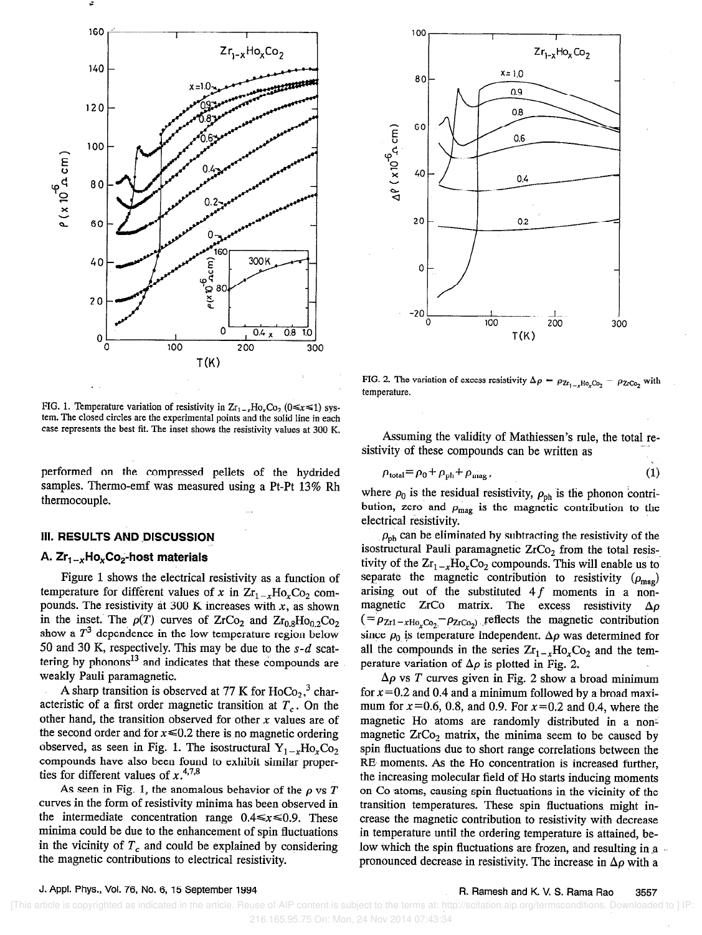



FIG. 1. Temperature variation of resistivity in  $Zr_{1-x}Ho_xCo_2$  ( $0 \le x \le 1$ ) system. The closed circles are the experimental points and the solid line in each case represents the best fit. The inset shows the resistivity values at 300 K.

performed on the compressed pellets of the hydrided samples. Thermo-emf was measured using a Pt-Pt 13% Rh thermocouple.

### **III. RESULTS AND DISCUSSION**

# A.  $Zr_1 - _x Ho_xCo_2$ -host materials

Figure 1 shows the electrical resistivity as a function of temperature for different values of x in  $Zr_{1-x}Ho_xCo_2$  compounds. The resistivity at 300 K increases with  $x$ , as shown in the inset. The  $p(T)$  curves of  $ZrCo<sub>2</sub>$  and  $Zr<sub>0.8</sub>Ho<sub>0.2</sub>Co<sub>2</sub>$ show a  $T<sup>3</sup>$  dependence in the low temperature region below 50 and 30 K, respectively. This may be due to the  $s-d$  scattering by phonons<sup>13</sup> and indicates that these compounds are weakly Pauli paramagnetic.

A sharp transition is observed at 77 K for  $HoCo<sub>2</sub>$ , characteristic of a first order magnetic transition at  $T_c$ . On the other hand, the transition observed for other  $x$  values are of the second order and for  $x \le 0.2$  there is no magnetic ordering observed, as seen in Fig. 1. The isostructural  $Y_{1-r}Ho_rCo_2$ compounds have also been found to exhibit similar properties for different values of  $x$ .

As seen in Fig. 1, the anomalous behavior of the  $\rho$  vs T curves in the form of resistivity minima has been observed in the intermediate concentration range  $0.4 \le x \le 0.9$ . These minima could be due to the enhancement of spin fluctuations in the vicinity of  $T_c$  and could be explained by considering the magnetic contributions to electrical resistivity.

FIG. 2. The variation of excess resistivity  $\Delta \rho = \rho_{Z_{r_1} \ldots Z_{r} H_0} C_2$ temperature.

Assuming the validity of Mathiessen's rule, the total re-<br> $\frac{1}{2}$ sistivity of these compounds can be written as

$$
\rho_{\text{total}} = \rho_0 + \rho_{\text{ph}} + \rho_{\text{mag}},\tag{1}
$$

where  $\rho_0$  is the residual resistivity,  $\rho_{ph}$  is the phonon contribution, zero and  $\rho_{\text{mag}}$  is the magnetic contribution to the electrical resistivity.

 $\rho_{\rm ph}$  can be eliminated by subtracting the resistivity of the isostructural Pauli paramagnetic  $ZrCo<sub>2</sub>$  from the total resistivity of the  $Zr_1_{x}Ho_xCo_2$  compounds. This will enable us to separate the magnetic contribution to resistivity  $(\rho_{\text{mag}})$ arising out of the substituted  $4f$  moments in a nonmagnetic ZrCo matrix. The excess resistivity  $\Delta \rho$  $( = \rho_{Zr1-xHo_rCo_2} - \rho_{ZrCo_2}$  reflects the magnetic contribution since  $\rho_0$  is temperature independent.  $\Delta \rho$  was determined for all the compounds in the series  $Zr_{1-x}Ho_xCo_2$  and the temperature variation of  $\Delta \rho$  is plotted in Fig. 2.

 $\Delta \rho$  vs T curves given in Fig. 2 show a broad minimum for  $x=0.2$  and 0.4 and a minimum followed by a broad maximum for  $x=0.6, 0.8,$  and 0.9. For  $x=0.2$  and 0.4, where the magnetic Ho atoms are randomly distributed in a nonmagnetic  $ZrCo<sub>2</sub>$  matrix, the minima seem to be caused by spin fluctuations due to short range correlations between the RE moments. As the Ho concentration is increased further, the increasing molecular field of Ho starts inducing moments on Co atoms, causing spin fluctuations in the vicinity of the transition temperatures. These spin fluctuations. might increase the magnetic contribution to resistivity with decrease in temperature until the ordering temperature is attained, below which the spin fluctuations are frozen, and resulting in a pronounced decrease in resistivity. The increase in  $\Delta \rho$  with a

J. Appl. Phys., Vol. 76, No. 6, 15 September 1994 R. Ramesh and K. V. S. Rama Rao 3557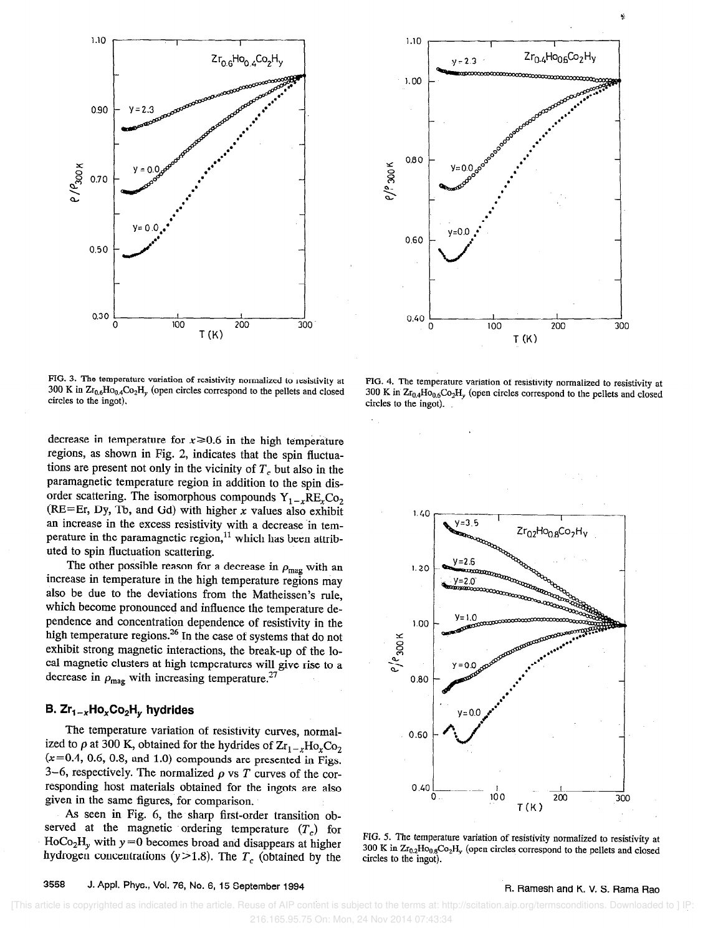

FIG. 3. The temperature variation of resistivity normalized to resistivity at 300 K in  $Zr_{0.6}Ho_{0.4}Co_2H_v$  (open circles correspond to the pellets and closed circles to the ingot).

decrease in temperature for  $x \ge 0.6$  in the high temperature regions, as shown in Fig. 2, indicates that the spin fluctuations are present not only in the vicinity of  $T_c$  but also in the paramagnetic temperature region in addition to the spin disorder scattering. The isomorphous compounds  $Y_{1-x}RE_xCo_2$ (RE=Er, Dy, Tb, and Gd) with higher  $x$  values also exhibit an increase in the excess resistivity with a decrease in temperature in the paramagnetic region,  $11$  which has been attributed to spin fluctuation scattering.

The other possible reason for a decrease in  $\rho_{\text{mag}}$  with an increase in temperature in the high temperature regions may also be due to the deviations from the Matheissen's rule, which become pronounced and influence the temperature dependence and concentration dependence of resistivity in the high temperature regions.<sup>26</sup> In the case of systems that do not exhibit strong magnetic interactions, the break-up of the local magnetic clusters at high temperatures will give rise to a decrease in  $\rho_{\text{mag}}$  with increasing temperature.<sup>27</sup>

# B.  $Zr_{1-x}Ho_xCo_2H_y$  hydrides

The temperature variation of resistivity curves, normalized to  $\rho$  at 300 K, obtained for the hydrides of  $\rm Zr_{1-x}Ho_{x}Co_{2}$  $(x=0.4, 0.6, 0.8,$  and 1.0) compounds are presented in Figs. 3-6, respectively. The normalized  $\rho$  vs T curves of the corresponding host materials obtained for the ingots are also given in the same figures, for comparison.

As seen in Fig. 6, the sharp first-order transition observed at the magnetic ordering temperature  $(T_c)$  for  $HoCo<sub>2</sub>H<sub>v</sub>$  with  $y=0$  becomes broad and disappears at higher hydrogen concentrations ( $y > 1.8$ ). The  $T_c$  (obtained by the







FIG. 5. The temperature variation of resistivity normalized to resistivity at 300 K in  $Zr_{0.2}Ho_{0.8}Co_2H_y$  (open circles correspond to the pellets and closed circles to the ingot).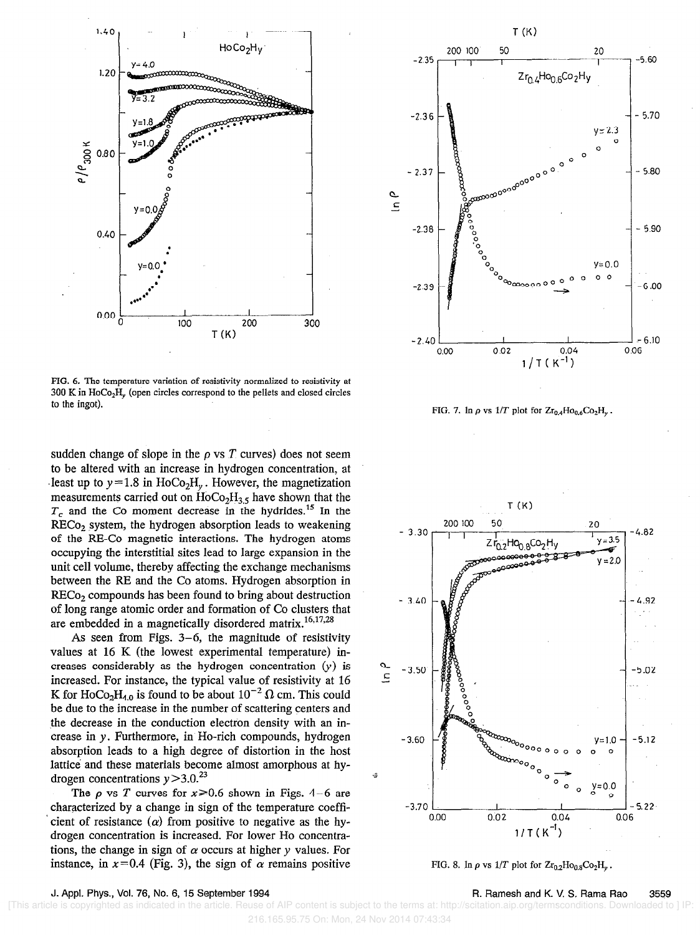

FIG. 6. The temperature variation of resistivity normalized to resistivity at  $300 \text{ K}$  in HoCo<sub>2</sub>H<sub>y</sub> (open circles correspond to the pellets and closed circles to the ingot).

sudden change of slope in the  $\rho$  vs  $T$  curves) does not seem to be altered with an increase in hydrogen concentration, at least up to  $y = 1.8$  in HoCo<sub>2</sub>H<sub>y</sub>. However, the magnetization measurements carried out on  $HoCo<sub>2</sub>H<sub>3.5</sub>$  have shown that the  $T<sub>c</sub>$  and the Co moment decrease in the hydrides.<sup>15</sup> In the  $RECo<sub>2</sub>$  system, the hydrogen absorption leads to weakening of the RE-Co magnetic interactions. The hydrogen atoms occupying the interstitial sites lead to large expansion in the unit cell volume, thereby affecting the exchange mechanisms between the RE and the Co atoms. Hydrogen absorption in RECo<sub>2</sub> compounds has been found to bring about destruction of long range atomic order and formation of Co clusters that are embedded in a magnetically disordered matrix.<sup>16,17,28</sup>

As seen from Figs. 3-6, the magnitude of resistivity values at 16 K (the lowest experimental temperature) increases considerably as the hydrogen concentration  $(y)$  is increased. For instance, the typical value of resistivity at 16 K for HoCo<sub>2</sub>H<sub>40</sub> is found to be about  $10^{-2} \Omega$  cm. This could be due to the increase in the number of scattering centers and the decrease in the conduction electron density with an increase in y. Furthermore, in Ho-rich compounds, hydrogen absorption leads to a high degree of distortion in the host lattice and these materials become almost amorphous at hydrogen concentrations  $y > 3.0^{23}$ 

The  $\rho$  vs T curves for  $x \ge 0.6$  shown in Figs. 4-6 are characterized by a change in sign of the temperature coeffi cient of resistance  $(\alpha)$  from positive to negative as the hydrogen concentration is increased. For lower Ho concentrations, the change in sign of  $\alpha$  occurs at higher y values. For instance, in  $x=0.4$  (Fig. 3), the sign of  $\alpha$  remains positive



FIG. 7. In  $\rho$  vs 1/T plot for  $Zr_{0.4}Ho_{0.6}Co_2H_v$ .



FIG. 8. In  $\rho$  vs  $1/T$  plot for  $Zr_{0.2}Ho_{0.8}Co_2H_v$ .

J. Appt. Phys., Vol. 76, No. 6, 15 September 1994 R. Ramesh and K. V. S. Rama Rao 3559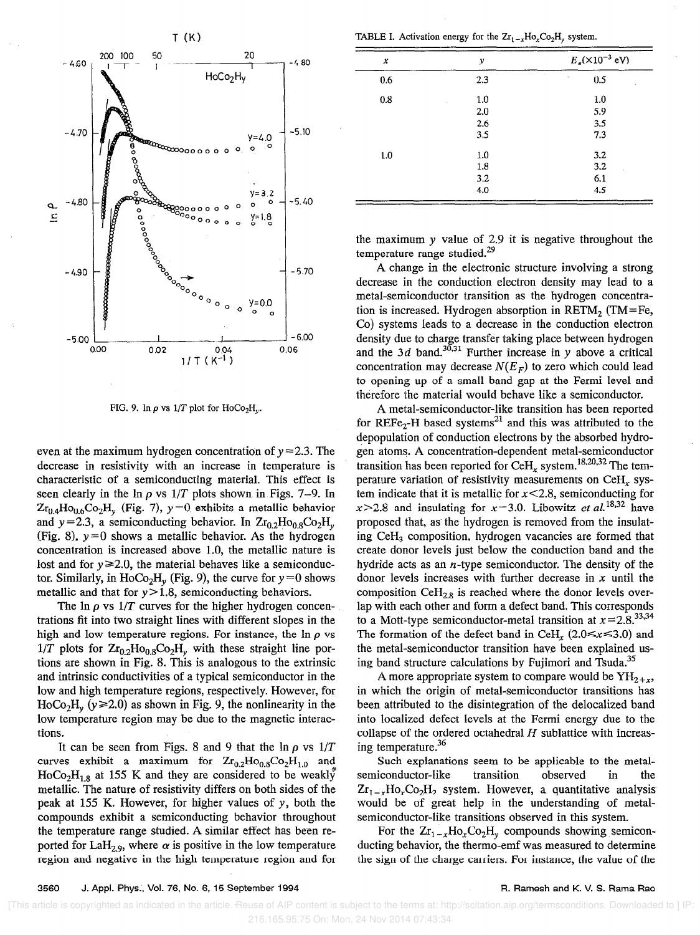

FIG. 9. In  $\rho$  vs  $1/T$  plot for HoCo<sub>2</sub>H<sub>v</sub>.

even at the maximum hydrogen concentration of  $y = 2.3$ . The decrease in resistivity with an increase in temperature is characteristic of a semiconducting material. This effect is seen clearly in the  $\ln \rho$  vs  $1/T$  plots shown in Figs. 7–9. In  $Zr_{0.4}Ho_{0.6}Co_2H_v$  (Fig. 7),  $y=0$  exhibits a metallic behavior and y=2.3, a semiconducting behavior. In  $Zr_{0.2}Ho_{0.8}Co_2H_v$ (Fig. 8),  $y=0$  shows a metallic behavior. As the hydrogen concentration is increased above 1.0, the metallic nature is lost and for  $y \ge 2.0$ , the material behaves like a semiconductor. Similarly, in HoCo<sub>2</sub>H<sub>v</sub> (Fig. 9), the curve for  $y=0$  shows metallic and that for  $y > 1.8$ , semiconducting behaviors.

The  $\ln \rho$  vs 1/T curves for the higher hydrogen concentrations fit into two straight lines with different slopes in the high and low temperature regions. For instance, the  $\ln \rho$  vs  $1/T$  plots for  $Zr_{0.2}Ho_{0.8}Co_2H_y$  with these straight line portions are shown in Fig. 8. This is analogous to the extrinsic and intrinsic conductivities of a typical semiconductor in the low and high temperature regions, respectively. However, for  $HoCo<sub>2</sub>H<sub>v</sub>$  ( $y \ge 2.0$ ) as shown in Fig. 9, the nonlinearity in the low temperature region may be due to the magnetic interactions.

It can be seen from Figs. 8 and 9 that the  $\ln \rho$  vs  $1/T$ curves exhibit a maximum for  $Zr_{0.2}Ho_{0.8}Co_2H_{1.0}$  and  $HoCo<sub>2</sub>H<sub>1,8</sub>$  at 155 K and they are considered to be weakly metallic. The nature of resistivity differs on both sides of the peak at 155 K. However, for higher values of y, both the compounds exhibit a semiconducting behavior throughout the temperature range studied. A similar effect has been reported for LaH<sub>2.9</sub>, where  $\alpha$  is positive in the low temperature region and negative in the high temperature region and for

TABLE I. Activation energy for the  $Zr_{1-x}Ho_xCo_2H_y$  system.

| x   | y   | $E_a({\times}10^{-3} \text{ eV})$ |
|-----|-----|-----------------------------------|
| 0.6 | 2.3 | 0.5                               |
| 0.8 | 1.0 | 1.0                               |
|     | 2.0 | 5.9                               |
|     | 2.6 | 3.5                               |
|     | 3.5 | 7.3                               |
| 1.0 | 1.0 | 3.2                               |
|     | 1.8 | 3.2                               |
|     | 3.2 | 6.1                               |
|     | 4.0 | 4.5                               |

the maximum y value of 2.9 it is negative throughout the temperature range studied.<sup>29</sup>

A change in the electronic structure involving a strong decrease in the conduction electron density may lead to a metal-semiconductor transition as the hydrogen concentration is increased. Hydrogen absorption in  $RETM_2$  (TM=Fe, Co) systems leads to a decrease in the conduction electron density due to charge transfer taking place between hydrogen and the 3d band.<sup>30,31</sup> Further increase in y above a critical concentration may decrease  $N(E_F)$  to zero which could lead to opening up of a small band gap at the Fermi level and therefore the material would behave like a semiconductor.

A metal-semiconductor-like transition has been reported for REFe<sub>2</sub>-H based systems<sup>21</sup> and this was attributed to the depopulation of conduction electrons by the absorbed hydrogen atoms. A concentration-dependent metal-semiconductor transition has been reported for  $\text{CeH}_x$  system.<sup>18,20,32</sup> The temperature variation of resistivity measurements on  $\text{CeH}_x$  system indicate that it is metallic for  $x < 2.8$ , semiconducting for  $x > 2.8$  and insulating for  $x = 3.0$ . Libowitz et al.<sup>18,32</sup> have proposed that, as the hydrogen is removed from the insulating Ce $H_3$  composition, hydrogen vacancies are formed that create donor levels just below the conduction band and the hydride acts as an  $n$ -type semiconductor. The density of the donor levels increases with further decrease in  $x$  until the composition  $\text{CeH}_{2.8}$  is reached where the donor levels overlap with each other and form a defect band. This corresponds to a Mott-type semiconductor-metal transition at  $x=2.8$ <sup>33,34</sup> The formation of the defect band in CeH<sub>x</sub> (2.0  $\le x \le 3.0$ ) and the metal-semiconductor transition have been explained using band structure calculations by Fujimori and Tsuda.<sup>35</sup>

A more appropriate system to compare would be  $YH_{2+r}$ , in which the origin of metal-semiconductor transitions has been attributed to the disintegration of the delocalized band into localized defect levels at the Fermi energy due to the collapse of the ordered octahedral  $H$  sublattice with increasing temperature.<sup>36</sup>

Such explanations seem to be applicable to the metalsemiconductor-like transition observed in the  $Zr_{1-x}Ho_xCo_2H_2$  system. However, a quantitative analysis would be of great help in the understanding of metalsemiconductor-like transitions observed in this system.

For the  $Zr_{1-x}Ho_xCo_2H_y$  compounds showing semiconducting behavior, the thermo-emf was measured to determine the sign of the charge carriers. For instance, the value of the

 <sup>[</sup>This article is copyrighted as indicated in the article. Reuse of AIP content is subject to the terms at: http://scitation.aip.org/termsconditions. Downloaded to ] IP: 216.165.95.75 On: Mon, 24 Nov 2014 07:43:34